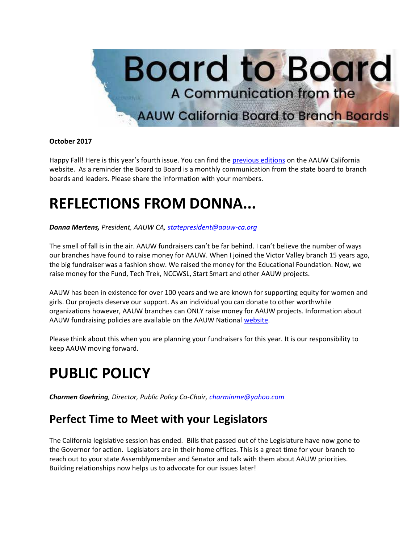

#### **October 2017**

Happy Fall! Here is this year's fourth issue. You can find the [previous editions](https://bor.aauw-ca.org/sendy/l/YlrJ763AeyF892b51vFm0EptRw/LpotWdwZMdj8MLkcVAsP6g/zJH7ImJsmqQx37uITFpx763Q) on the AAUW California website. As a reminder the Board to Board is a monthly communication from the state board to branch boards and leaders. Please share the information with your members.

# **REFLECTIONS FROM DONNA...**

*Donna Mertens, President, AAUW CA, [statepresident@aauw-ca.org](mailto:statepresident@aauw-ca.org)*

The smell of fall is in the air. AAUW fundraisers can't be far behind. I can't believe the number of ways our branches have found to raise money for AAUW. When I joined the Victor Valley branch 15 years ago, the big fundraiser was a fashion show. We raised the money for the Educational Foundation. Now, we raise money for the Fund, Tech Trek, NCCWSL, Start Smart and other AAUW projects.

AAUW has been in existence for over 100 years and we are known for supporting equity for women and girls. Our projects deserve our support. As an individual you can donate to other worthwhile organizations however, AAUW branches can ONLY raise money for AAUW projects. Information about AAUW fundraising policies are available on the AAUW National [website.](https://bor.aauw-ca.org/sendy/l/YlrJ763AeyF892b51vFm0EptRw/qFyIWxHykEZGhK3GjhohGw/zJH7ImJsmqQx37uITFpx763Q)

Please think about this when you are planning your fundraisers for this year. It is our responsibility to keep AAUW moving forward.

## **PUBLIC POLICY**

*Charmen Goehring, Director, Public Policy Co-Chair, [charminme@yahoo.com](mailto:charminme@yahoo.com)*

#### **Perfect Time to Meet with your Legislators**

The California legislative session has ended. Bills that passed out of the Legislature have now gone to the Governor for action. Legislators are in their home offices. This is a great time for your branch to reach out to your state Assemblymember and Senator and talk with them about AAUW priorities. Building relationships now helps us to advocate for our issues later!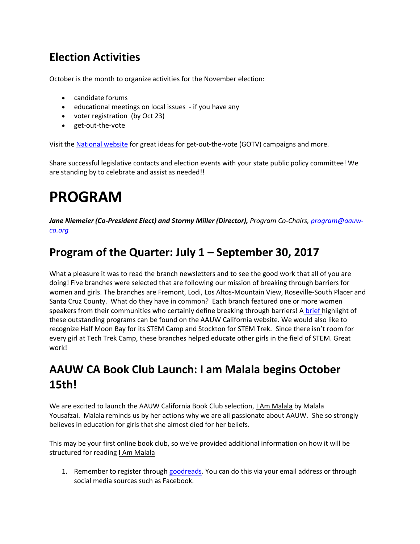### **Election Activities**

October is the month to organize activities for the November election:

- candidate forums
- educational meetings on local issues if you have any
- voter registration (by Oct 23)
- get-out-the-vote

Visit the [National website](https://bor.aauw-ca.org/sendy/l/YlrJ763AeyF892b51vFm0EptRw/3otuRNpRW9rHhvUVf9zw6A/zJH7ImJsmqQx37uITFpx763Q) for great ideas for get-out-the-vote (GOTV) campaigns and more.

Share successful legislative contacts and election events with your state public policy committee! We are standing by to celebrate and assist as needed!!

# **PROGRAM**

*Jane Niemeier (Co-President Elect) and Stormy Miller (Director), Program Co-Chairs, [program@aauw](mailto:program@aauw-ca.org)[ca.org](mailto:program@aauw-ca.org)*

#### **Program of the Quarter: July 1 – September 30, 2017**

What a pleasure it was to read the branch newsletters and to see the good work that all of you are doing! Five branches were selected that are following our mission of breaking through barriers for women and girls. The branches are Fremont, Lodi, Los Altos-Mountain View, Roseville-South Placer and Santa Cruz County. What do they have in common? Each branch featured one or more women speakers from their communities who certainly define breaking through barriers! A [brief h](https://bor.aauw-ca.org/sendy/l/YlrJ763AeyF892b51vFm0EptRw/T7ley892DHrFrW763SGpPTBhSQ/zJH7ImJsmqQx37uITFpx763Q)ighlight of these outstanding programs can be found on the AAUW California website. We would also like to recognize Half Moon Bay for its STEM Camp and Stockton for STEM Trek. Since there isn't room for every girl at Tech Trek Camp, these branches helped educate other girls in the field of STEM. Great work!

### **AAUW CA Book Club Launch: I am Malala begins October 15th!**

We are excited to launch the AAUW California Book Club selection, *LAm Malala* by Malala Yousafzai. Malala reminds us by her actions why we are all passionate about AAUW. She so strongly believes in education for girls that she almost died for her beliefs.

This may be your first online book club, so we've provided additional information on how it will be structured for reading I Am Malala

1. Remember to register through [goodreads.](https://bor.aauw-ca.org/sendy/l/YlrJ763AeyF892b51vFm0EptRw/g892v5YmrwAehtBcEfKDvYYA/zJH7ImJsmqQx37uITFpx763Q) You can do this via your email address or through social media sources such as Facebook.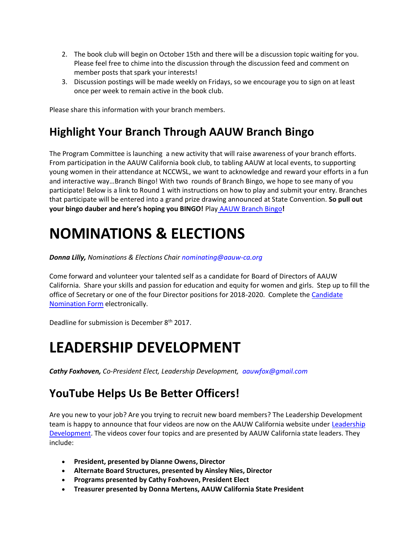- 2. The book club will begin on October 15th and there will be a discussion topic waiting for you. Please feel free to chime into the discussion through the discussion feed and comment on member posts that spark your interests!
- 3. Discussion postings will be made weekly on Fridays, so we encourage you to sign on at least once per week to remain active in the book club.

Please share this information with your branch members.

### **Highlight Your Branch Through AAUW Branch Bingo**

The Program Committee is launching a new activity that will raise awareness of your branch efforts. From participation in the AAUW California book club, to tabling AAUW at local events, to supporting young women in their attendance at NCCWSL, we want to acknowledge and reward your efforts in a fun and interactive way…Branch Bingo! With two rounds of Branch Bingo, we hope to see many of you participate! Below is a link to Round 1 with instructions on how to play and submit your entry. Branches that participate will be entered into a grand prize drawing announced at State Convention. **So pull out your bingo dauber and here's hoping you BINGO!** Play [AAUW Branch Bingo](https://bor.aauw-ca.org/sendy/l/YlrJ763AeyF892b51vFm0EptRw/zVpFAQRQBF6Aq2qKB763gJfA/zJH7ImJsmqQx37uITFpx763Q)**!**

# **NOMINATIONS & ELECTIONS**

*Donna Lilly, Nominations & Elections Chair [nominating@aauw-ca.org](mailto:nominating@aauw-ca.org)*

Come forward and volunteer your talented self as a candidate for Board of Directors of AAUW California. Share your skills and passion for education and equity for women and girls. Step up to fill the office of Secretary or one of the four Director positions for 2018-2020. Complete the Candidate [Nomination Form](https://bor.aauw-ca.org/sendy/l/YlrJ763AeyF892b51vFm0EptRw/as7wnVpSR8UQ2702cM2kmw/zJH7ImJsmqQx37uITFpx763Q) electronically.

Deadline for submission is December 8<sup>th</sup> 2017.

## **LEADERSHIP DEVELOPMENT**

*Cathy Foxhoven, Co-President Elect, Leadership Development, [aauwfox@gmail.com](mailto:aauwfox@gmail.com)*

### **YouTube Helps Us Be Better Officers!**

Are you new to your job? Are you trying to recruit new board members? The Leadership Development team is happy to announce that four videos are now on the AAUW California website under [Leadership](https://bor.aauw-ca.org/sendy/l/YlrJ763AeyF892b51vFm0EptRw/fyEHDZSJcBk8fwh9mQqMHQ/zJH7ImJsmqQx37uITFpx763Q)  [Development.](https://bor.aauw-ca.org/sendy/l/YlrJ763AeyF892b51vFm0EptRw/fyEHDZSJcBk8fwh9mQqMHQ/zJH7ImJsmqQx37uITFpx763Q) The videos cover four topics and are presented by AAUW California state leaders. They include:

- **President, presented by Dianne Owens, Director**
- **Alternate Board Structures, presented by Ainsley Nies, Director**
- **Programs presented by Cathy Foxhoven, President Elect**
- **Treasurer presented by Donna Mertens, AAUW California State President**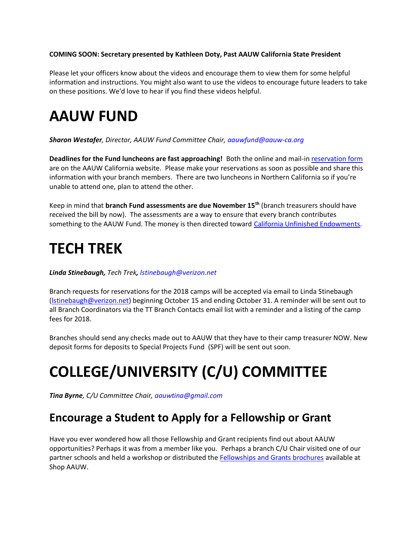#### **COMING SOON: Secretary presented by Kathleen Doty, Past AAUW California State President**

Please let your officers know about the videos and encourage them to view them for some helpful information and instructions. You might also want to use the videos to encourage future leaders to take on these positions. We'd love to hear if you find these videos helpful.

### **AAUW FUND**

#### *Sharon Westafer, Director, AAUW Fund Committee Chair, [aauwfund@aauw-ca.org](mailto:aauwfund@aauw-ca.org)*

**Deadlines for the Fund luncheons are fast approaching!** Both the online and mail-in [reservation form](https://bor.aauw-ca.org/sendy/l/YlrJ763AeyF892b51vFm0EptRw/5s2UV4AI2sOr2lKLWzd892tQ/zJH7ImJsmqQx37uITFpx763Q) are on the AAUW California website. Please make your reservations as soon as possible and share this information with your branch members. There are two luncheons in Northern California so if you're unable to attend one, plan to attend the other.

Keep in mind that **branch Fund assessments are due November 15th** (branch treasurers should have received the bill by now). The assessments are a way to ensure that every branch contributes something to the AAUW Fund. The money is then directed toward [California Unfinished Endowments.](https://bor.aauw-ca.org/sendy/l/YlrJ763AeyF892b51vFm0EptRw/VSUeS0XFl1dbtOkatNlpDw/zJH7ImJsmqQx37uITFpx763Q)

## **TECH TREK**

#### *Linda Stinebaugh, Tech Trek, [lstinebaugh@verizon.net](mailto:lstinebaugh@verizon.net)*

Branch requests for reservations for the 2018 camps will be accepted via email to Linda Stinebaugh [\(lstinebaugh@verizon.net\)](mailto:lstinebaugh@verizon.net) beginning October 15 and ending October 31. A reminder will be sent out to all Branch Coordinators via the TT Branch Contacts email list with a reminder and a listing of the camp fees for 2018.

Branches should send any checks made out to AAUW that they have to their camp treasurer NOW. New deposit forms for deposits to Special Projects Fund (SPF) will be sent out soon.

# **COLLEGE/UNIVERSITY (C/U) COMMITTEE**

*Tina Byrne, C/U Committee Chair[, aauwtina@gmail.com](mailto:aauwtina@gmail.com)*

#### **Encourage a Student to Apply for a Fellowship or Grant**

Have you ever wondered how all those Fellowship and Grant recipients find out about AAUW opportunities? Perhaps it was from a member like you. Perhaps a branch C/U Chair visited one of our partner schools and held a workshop or distributed th[e Fellowships and Grants brochures](https://bor.aauw-ca.org/sendy/l/YlrJ763AeyF892b51vFm0EptRw/MElHNzGOjJLLxmEJEbG763Lg/zJH7ImJsmqQx37uITFpx763Q) available at Shop AAUW.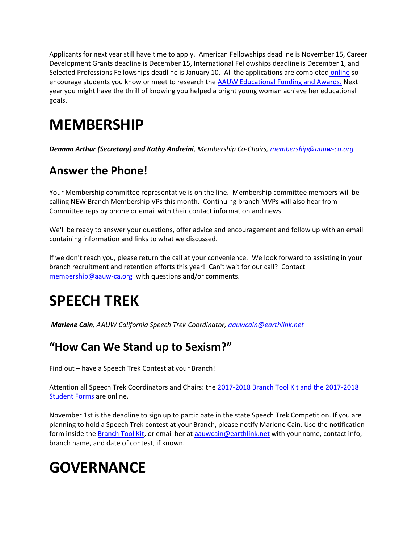Applicants for next year still have time to apply. American Fellowships deadline is November 15, Career Development Grants deadline is December 15, International Fellowships deadline is December 1, and Selected Professions Fellowships deadline is January 10. All the applications are completed [online](https://bor.aauw-ca.org/sendy/l/YlrJ763AeyF892b51vFm0EptRw/BKYBhL4AotU763DpIn892vDfYQ/zJH7ImJsmqQx37uITFpx763Q) so encourage students you know or meet to research the [AAUW Educational Funding and Awards.](https://bor.aauw-ca.org/sendy/l/YlrJ763AeyF892b51vFm0EptRw/BKYBhL4AotU763DpIn892vDfYQ/zJH7ImJsmqQx37uITFpx763Q) Next year you might have the thrill of knowing you helped a bright young woman achieve her educational goals.

## **MEMBERSHIP**

*Deanna Arthur (Secretary) and Kathy Andreini, Membership Co-Chairs, [membership@aauw-ca.org](mailto:membership@aauw-ca.org)*

#### **Answer the Phone!**

Your Membership committee representative is on the line. Membership committee members will be calling NEW Branch Membership VPs this month. Continuing branch MVPs will also hear from Committee reps by phone or email with their contact information and news.

We'll be ready to answer your questions, offer advice and encouragement and follow up with an email containing information and links to what we discussed.

If we don't reach you, please return the call at your convenience. We look forward to assisting in your branch recruitment and retention efforts this year! Can't wait for our call? Contact [membership@aauw-ca.org](mailto:membership@aauw-ca.org) with questions and/or comments.

# **SPEECH TREK**

*Marlene Cain, AAUW California Speech Trek Coordinator, [aauwcain@earthlink.net](mailto:aauwcain@earthlink.ne)*

#### **"How Can We Stand up to Sexism?"**

Find out – have a Speech Trek Contest at your Branch!

Attention all Speech Trek Coordinators and Chairs: the [2017-2018 Branch Tool Kit and the 2017-2018](https://bor.aauw-ca.org/sendy/l/YlrJ763AeyF892b51vFm0EptRw/9RAEfedMdAyCIcjtJlUnaw/zJH7ImJsmqQx37uITFpx763Q)  **[Student Forms](https://bor.aauw-ca.org/sendy/l/YlrJ763AeyF892b51vFm0EptRw/9RAEfedMdAyCIcjtJlUnaw/zJH7ImJsmqQx37uITFpx763Q)** are online.

November 1st is the deadline to sign up to participate in the state Speech Trek Competition. If you are planning to hold a Speech Trek contest at your Branch, please notify Marlene Cain. Use the notification form inside the **Branch Tool Kit**, or email her at a auwcain@earthlink.net with your name, contact info, branch name, and date of contest, if known.

## **GOVERNANCE**